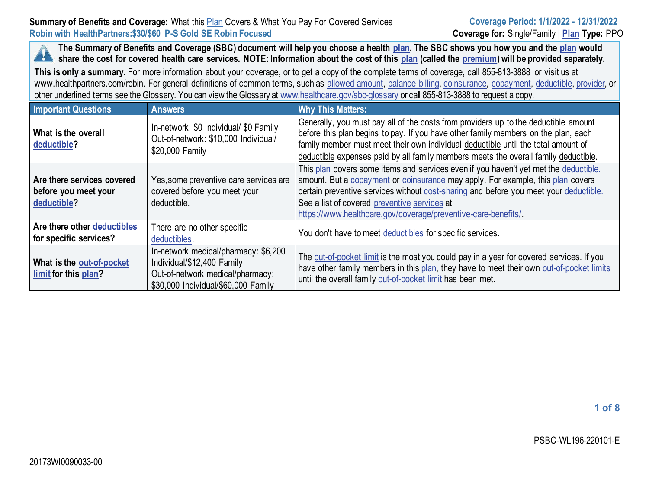## **Summary of Benefits and Coverage:** What this Plan Covers & What You Pay For Covered Services **Robin with HealthPartners:\$30/\$60 P-S Gold SE Robin Focused Coverage for:** Single/Family | **[Plan](https://www.healthcare.gov/sbc-glossary/#plan) Type:** PPO

**The Summary of Benefits and Coverage (SBC) document will help you choose a health [plan.](https://www.healthcare.gov/sbc-glossary/#plan) The SBC shows you how you and the [plan](https://www.healthcare.gov/sbc-glossary/#plan) would**  A **share the cost for covered health care services. NOTE: Information about the cost of this [plan](https://www.healthcare.gov/sbc-glossary/#plan) (called the [premium\)](https://www.healthcare.gov/sbc-glossary/#premium) will be provided separately.**

**This is only a summary.** For more information about your coverage, or to get a copy of the complete terms of coverage, call 855-813-3888 or visit us at www.healthpartners.com/robin. For general definitions of common terms, such as [allowed amount,](https://www.healthcare.gov/sbc-glossary/#allowed-amount) [balance billing,](https://www.healthcare.gov/sbc-glossary/#balance-billing) [coinsurance,](https://www.healthcare.gov/sbc-glossary/#coinsurance) [copayment,](https://www.healthcare.gov/sbc-glossary/#copayment) [deductible](https://www.healthcare.gov/sbc-glossary/#deductible)[, provider,](https://www.healthcare.gov/sbc-glossary/#provider) or other underlined terms see the Glossary. You can view the Glossary a[t www.healthcare.gov/sbc-glossary](https://www.healthcare.gov/sbc-glossary) or call 855-813-3888 to request a copy.

| <b>Important Questions</b>                                        | <b>Answers</b>                                                                                                                                | <b>Why This Matters:</b>                                                                                                                                                                                                                                                                                                                                                          |
|-------------------------------------------------------------------|-----------------------------------------------------------------------------------------------------------------------------------------------|-----------------------------------------------------------------------------------------------------------------------------------------------------------------------------------------------------------------------------------------------------------------------------------------------------------------------------------------------------------------------------------|
| What is the overall<br>deductible?                                | In-network: \$0 Individual/ \$0 Family<br>Out-of-network: \$10,000 Individual/<br>\$20,000 Family                                             | Generally, you must pay all of the costs from providers up to the deductible amount<br>before this plan begins to pay. If you have other family members on the plan, each<br>family member must meet their own individual deductible until the total amount of<br>deductible expenses paid by all family members meets the overall family deductible.                             |
| Are there services covered<br>before you meet your<br>deductible? | Yes, some preventive care services are<br>covered before you meet your<br>deductible.                                                         | This plan covers some items and services even if you haven't yet met the deductible.<br>amount. But a copayment or coinsurance may apply. For example, this plan covers<br>certain preventive services without cost-sharing and before you meet your deductible.<br>See a list of covered preventive services at<br>https://www.healthcare.gov/coverage/preventive-care-benefits/ |
| Are there other deductibles<br>for specific services?             | There are no other specific<br>deductibles.                                                                                                   | You don't have to meet deductibles for specific services.                                                                                                                                                                                                                                                                                                                         |
| What is the out-of-pocket<br>limit for this plan?                 | In-network medical/pharmacy: \$6,200<br>Individual/\$12,400 Family<br>Out-of-network medical/pharmacy:<br>\$30,000 Individual/\$60,000 Family | The out-of-pocket limit is the most you could pay in a year for covered services. If you<br>have other family members in this plan, they have to meet their own out-of-pocket limits<br>until the overall family out-of-pocket limit has been met.                                                                                                                                |

**1 of 8**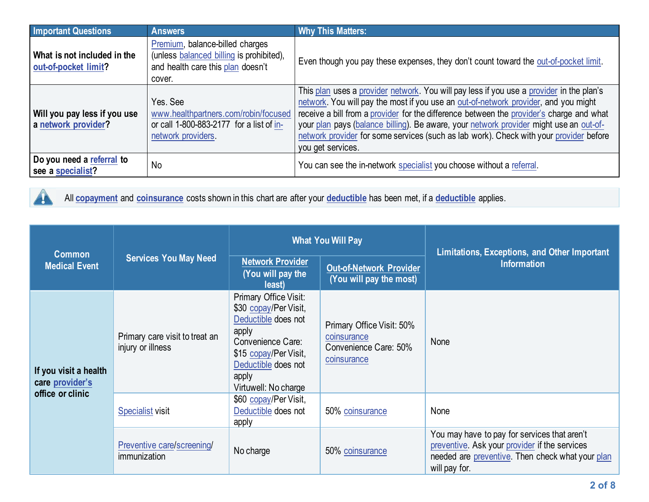| <b>Important Questions</b>                          | <b>Answers</b>                                                                                                             | <b>Why This Matters:</b>                                                                                                                                                                                                                                                                                                                                                                                                                                                             |
|-----------------------------------------------------|----------------------------------------------------------------------------------------------------------------------------|--------------------------------------------------------------------------------------------------------------------------------------------------------------------------------------------------------------------------------------------------------------------------------------------------------------------------------------------------------------------------------------------------------------------------------------------------------------------------------------|
| What is not included in the<br>out-of-pocket limit? | Premium, balance-billed charges<br>(unless balanced billing is prohibited),<br>and health care this plan doesn't<br>cover. | Even though you pay these expenses, they don't count toward the out-of-pocket limit.                                                                                                                                                                                                                                                                                                                                                                                                 |
| Will you pay less if you use<br>a network provider? | Yes, See<br>www.healthpartners.com/robin/focused<br>or call 1-800-883-2177 for a list of in-<br>network providers.         | This plan uses a provider network. You will pay less if you use a provider in the plan's<br>network. You will pay the most if you use an out-of-network provider, and you might<br>receive a bill from a provider for the difference between the provider's charge and what<br>your plan pays (balance billing). Be aware, your network provider might use an out-of-<br>network provider for some services (such as lab work). Check with your provider before<br>you get services. |
| Do you need a referral to<br>see a specialist?      | No                                                                                                                         | You can see the in-network specialist you choose without a referral.                                                                                                                                                                                                                                                                                                                                                                                                                 |



All **[copayment](https://www.healthcare.gov/sbc-glossary/#copayment)** and **[coinsurance](https://www.healthcare.gov/sbc-glossary/#coinsurance)** costs shown in this chart are after your **[deductible](https://www.healthcare.gov/sbc-glossary/#deductible)** has been met, if a **[deductible](https://www.healthcare.gov/sbc-glossary/#deductible)** applies.

| <b>Common</b>                                                       | <b>Services You May Need</b>                        | <b>What You Will Pay</b>                                                                                                                                                             |                                                                                  | <b>Limitations, Exceptions, and Other Important</b>                                                                                                                |
|---------------------------------------------------------------------|-----------------------------------------------------|--------------------------------------------------------------------------------------------------------------------------------------------------------------------------------------|----------------------------------------------------------------------------------|--------------------------------------------------------------------------------------------------------------------------------------------------------------------|
| <b>Medical Event</b>                                                |                                                     | <b>Network Provider</b><br>(You will pay the<br>least)                                                                                                                               | <b>Out-of-Network Provider</b><br>(You will pay the most)                        | <b>Information</b>                                                                                                                                                 |
| If you visit a health<br>care <i>provider's</i><br>office or clinic | Primary care visit to treat an<br>injury or illness | Primary Office Visit:<br>\$30 copay/Per Visit,<br>Deductible does not<br>apply<br>Convenience Care:<br>\$15 copay/Per Visit,<br>Deductible does not<br>apply<br>Virtuwell: No charge | Primary Office Visit: 50%<br>coinsurance<br>Convenience Care: 50%<br>coinsurance | None                                                                                                                                                               |
|                                                                     | <b>Specialist visit</b>                             | \$60 copay/Per Visit,<br>Deductible does not<br>apply                                                                                                                                | 50% coinsurance                                                                  | None                                                                                                                                                               |
|                                                                     | Preventive care/screening/<br>immunization          | No charge                                                                                                                                                                            | 50% coinsurance                                                                  | You may have to pay for services that aren't<br>preventive. Ask your provider if the services<br>needed are preventive. Then check what your plan<br>will pay for. |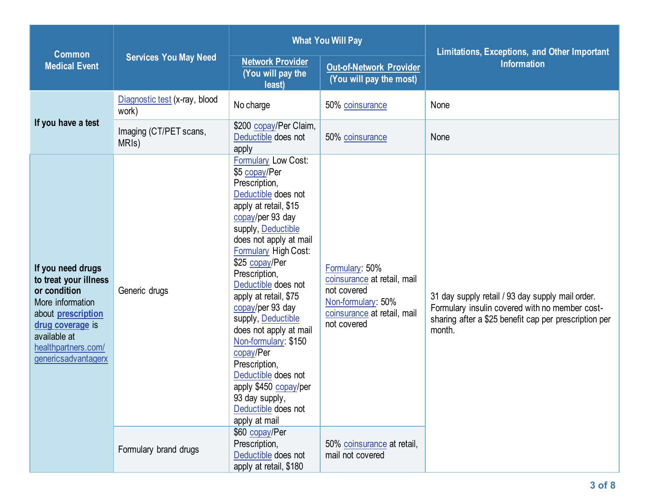| <b>Common</b>                                                                                                                                                                                 | <b>Services You May Need</b>                 |                                                                                                                                                                                                                                                                                                                                                                                                                                                                                                                          | <b>What You Will Pay</b>                                                                                                         | Limitations, Exceptions, and Other Important                                                                                                                          |
|-----------------------------------------------------------------------------------------------------------------------------------------------------------------------------------------------|----------------------------------------------|--------------------------------------------------------------------------------------------------------------------------------------------------------------------------------------------------------------------------------------------------------------------------------------------------------------------------------------------------------------------------------------------------------------------------------------------------------------------------------------------------------------------------|----------------------------------------------------------------------------------------------------------------------------------|-----------------------------------------------------------------------------------------------------------------------------------------------------------------------|
| <b>Medical Event</b>                                                                                                                                                                          |                                              | <b>Network Provider</b><br>(You will pay the<br>least)                                                                                                                                                                                                                                                                                                                                                                                                                                                                   | <b>Out-of-Network Provider</b><br>(You will pay the most)                                                                        | <b>Information</b>                                                                                                                                                    |
|                                                                                                                                                                                               | Diagnostic test (x-ray, blood<br>work)       | No charge                                                                                                                                                                                                                                                                                                                                                                                                                                                                                                                | 50% coinsurance                                                                                                                  | None                                                                                                                                                                  |
| If you have a test                                                                                                                                                                            | Imaging (CT/PET scans,<br>MRI <sub>s</sub> ) | \$200 copay/Per Claim,<br>Deductible does not<br>apply                                                                                                                                                                                                                                                                                                                                                                                                                                                                   | 50% coinsurance                                                                                                                  | None                                                                                                                                                                  |
| If you need drugs<br>to treat your illness<br>or condition<br>More information<br>about <b>prescription</b><br>drug coverage is<br>available at<br>healthpartners.com/<br>genericsadvantagerx | Generic drugs                                | Formulary Low Cost:<br>\$5 copay/Per<br>Prescription,<br>Deductible does not<br>apply at retail, \$15<br>copay/per 93 day<br>supply, Deductible<br>does not apply at mail<br>Formulary High Cost:<br>\$25 copay/Per<br>Prescription,<br>Deductible does not<br>apply at retail, \$75<br>copay/per 93 day<br>supply, Deductible<br>does not apply at mail<br>Non-formulary: \$150<br>copay/Per<br>Prescription,<br>Deductible does not<br>apply \$450 copay/per<br>93 day supply,<br>Deductible does not<br>apply at mail | Formulary: 50%<br>coinsurance at retail, mail<br>not covered<br>Non-formulary: 50%<br>coinsurance at retail, mail<br>not covered | 31 day supply retail / 93 day supply mail order.<br>Formulary insulin covered with no member cost-<br>sharing after a \$25 benefit cap per prescription per<br>month. |
|                                                                                                                                                                                               | Formulary brand drugs                        | \$60 copay/Per<br>Prescription,<br>Deductible does not<br>apply at retail, \$180                                                                                                                                                                                                                                                                                                                                                                                                                                         | 50% coinsurance at retail,<br>mail not covered                                                                                   |                                                                                                                                                                       |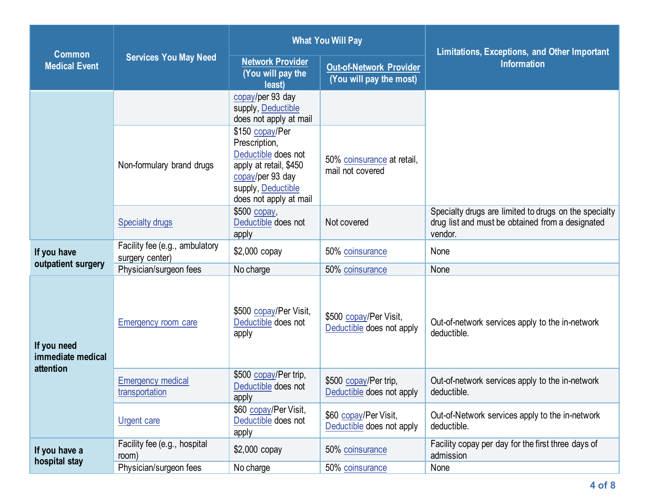|                                               | <b>Services You May Need</b>                      |                                                                                                                                                       | <b>What You Will Pay</b>                                  | Limitations, Exceptions, and Other Important                                                                         |  |
|-----------------------------------------------|---------------------------------------------------|-------------------------------------------------------------------------------------------------------------------------------------------------------|-----------------------------------------------------------|----------------------------------------------------------------------------------------------------------------------|--|
| <b>Common</b><br><b>Medical Event</b>         |                                                   | <b>Network Provider</b><br>(You will pay the<br>least)                                                                                                | <b>Out-of-Network Provider</b><br>(You will pay the most) | <b>Information</b>                                                                                                   |  |
|                                               |                                                   | copay/per 93 day<br>supply, Deductible<br>does not apply at mail                                                                                      |                                                           |                                                                                                                      |  |
|                                               | Non-formulary brand drugs                         | \$150 copay/Per<br>Prescription,<br>Deductible does not<br>apply at retail, \$450<br>copay/per 93 day<br>supply, Deductible<br>does not apply at mail | 50% coinsurance at retail,<br>mail not covered            |                                                                                                                      |  |
|                                               | <b>Specialty drugs</b>                            | \$500 copay,<br>Deductible does not<br>apply                                                                                                          | Not covered                                               | Specialty drugs are limited to drugs on the specialty<br>drug list and must be obtained from a designated<br>vendor. |  |
| If you have                                   | Facility fee (e.g., ambulatory<br>surgery center) | \$2,000 copay                                                                                                                                         | 50% coinsurance                                           | None                                                                                                                 |  |
| outpatient surgery                            | Physician/surgeon fees                            | No charge                                                                                                                                             | 50% coinsurance                                           | None                                                                                                                 |  |
| If you need<br>immediate medical<br>attention | Emergency room care                               | \$500 copay/Per Visit,<br>Deductible does not<br>apply                                                                                                | \$500 copay/Per Visit,<br>Deductible does not apply       | Out-of-network services apply to the in-network<br>deductible.                                                       |  |
|                                               | <b>Emergency medical</b><br>transportation        | \$500 copay/Per trip,<br>Deductible does not<br>apply                                                                                                 | \$500 copay/Per trip,<br>Deductible does not apply        | Out-of-network services apply to the in-network<br>deductible.                                                       |  |
|                                               | <b>Urgent care</b>                                | \$60 copay/Per Visit,<br>Deductible does not<br>apply                                                                                                 | \$60 copay/Per Visit,<br>Deductible does not apply        | Out-of-Network services apply to the in-network<br>deductible.                                                       |  |
| If you have a                                 | Facility fee (e.g., hospital<br>room)             | \$2,000 copay                                                                                                                                         | 50% coinsurance                                           | Facility copay per day for the first three days of<br>admission                                                      |  |
| hospital stay                                 | Physician/surgeon fees                            | No charge                                                                                                                                             | 50% coinsurance                                           | None                                                                                                                 |  |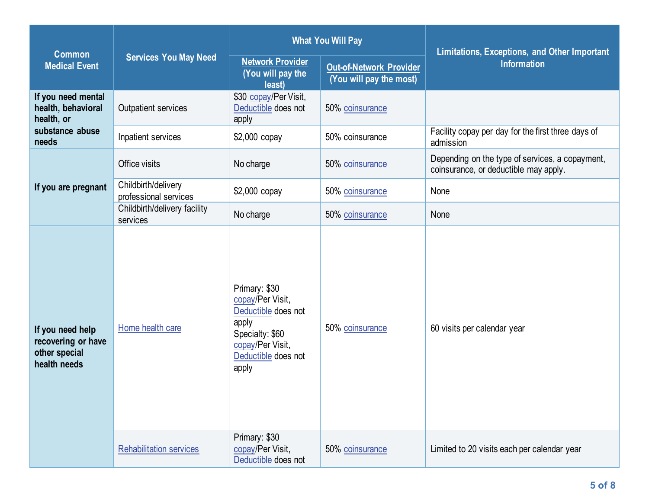|                                                                         | <b>Services You May Need</b>                 | <b>What You Will Pay</b>                                                                                                                 |                                                           | Limitations, Exceptions, and Other Important                                             |  |
|-------------------------------------------------------------------------|----------------------------------------------|------------------------------------------------------------------------------------------------------------------------------------------|-----------------------------------------------------------|------------------------------------------------------------------------------------------|--|
| <b>Common</b><br><b>Medical Event</b>                                   |                                              | <b>Network Provider</b><br>(You will pay the<br>least)                                                                                   | <b>Out-of-Network Provider</b><br>(You will pay the most) | <b>Information</b>                                                                       |  |
| If you need mental<br>health, behavioral<br>health, or                  | Outpatient services                          | \$30 copay/Per Visit,<br>Deductible does not<br>apply                                                                                    | 50% coinsurance                                           |                                                                                          |  |
| substance abuse<br>needs                                                | Inpatient services                           | \$2,000 copay                                                                                                                            | 50% coinsurance                                           | Facility copay per day for the first three days of<br>admission                          |  |
|                                                                         | Office visits                                | No charge                                                                                                                                | 50% coinsurance                                           | Depending on the type of services, a copayment,<br>coinsurance, or deductible may apply. |  |
| If you are pregnant                                                     | Childbirth/delivery<br>professional services | \$2,000 copay                                                                                                                            | 50% coinsurance                                           | None                                                                                     |  |
|                                                                         | Childbirth/delivery facility<br>services     | No charge                                                                                                                                | 50% coinsurance                                           | None                                                                                     |  |
| If you need help<br>recovering or have<br>other special<br>health needs | Home health care                             | Primary: \$30<br>copay/Per Visit,<br>Deductible does not<br>apply<br>Specialty: \$60<br>copay/Per Visit,<br>Deductible does not<br>apply | 50% coinsurance                                           | 60 visits per calendar year                                                              |  |
|                                                                         | <b>Rehabilitation services</b>               | Primary: \$30<br>copay/Per Visit,<br>Deductible does not                                                                                 | 50% coinsurance                                           | Limited to 20 visits each per calendar year                                              |  |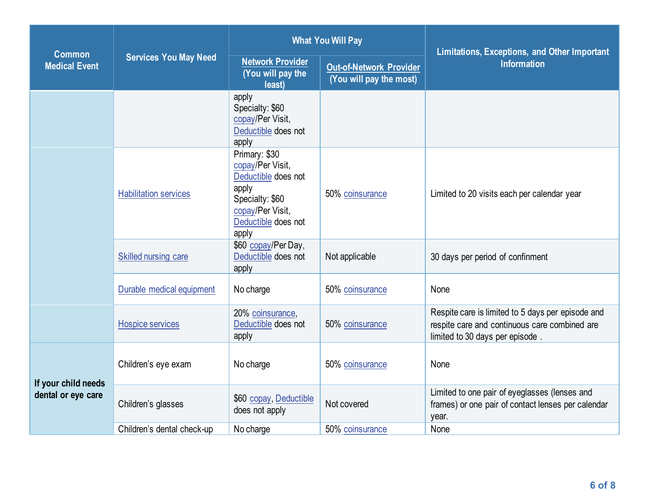|                                           | <b>Services You May Need</b> | <b>What You Will Pay</b>                                                                                                                 |                                                           | Limitations, Exceptions, and Other Important                                                                                          |  |
|-------------------------------------------|------------------------------|------------------------------------------------------------------------------------------------------------------------------------------|-----------------------------------------------------------|---------------------------------------------------------------------------------------------------------------------------------------|--|
| <b>Common</b><br><b>Medical Event</b>     |                              | <b>Network Provider</b><br>(You will pay the<br>least)                                                                                   | <b>Out-of-Network Provider</b><br>(You will pay the most) | <b>Information</b>                                                                                                                    |  |
|                                           |                              | apply<br>Specialty: \$60<br>copay/Per Visit,<br>Deductible does not<br>apply                                                             |                                                           |                                                                                                                                       |  |
|                                           | <b>Habilitation services</b> | Primary: \$30<br>copay/Per Visit,<br>Deductible does not<br>apply<br>Specialty: \$60<br>copay/Per Visit,<br>Deductible does not<br>apply | 50% coinsurance                                           | Limited to 20 visits each per calendar year                                                                                           |  |
|                                           | Skilled nursing care         | \$60 copay/Per Day,<br>Deductible does not<br>apply                                                                                      | Not applicable                                            | 30 days per period of confinment                                                                                                      |  |
|                                           | Durable medical equipment    | No charge                                                                                                                                | 50% coinsurance                                           | None                                                                                                                                  |  |
|                                           | <b>Hospice services</b>      | 20% coinsurance,<br>Deductible does not<br>apply                                                                                         | 50% coinsurance                                           | Respite care is limited to 5 days per episode and<br>respite care and continuous care combined are<br>limited to 30 days per episode. |  |
| If your child needs<br>dental or eye care | Children's eye exam          | No charge                                                                                                                                | 50% coinsurance                                           | None                                                                                                                                  |  |
|                                           | Children's glasses           | \$60 copay, Deductible<br>does not apply                                                                                                 | Not covered                                               | Limited to one pair of eyeglasses (lenses and<br>frames) or one pair of contact lenses per calendar<br>year.                          |  |
|                                           | Children's dental check-up   | No charge                                                                                                                                | 50% coinsurance                                           | None                                                                                                                                  |  |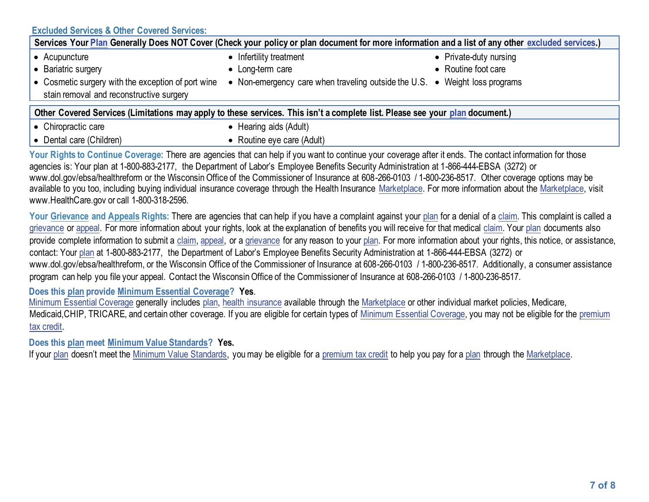## **[Excluded Services](https://www.healthcare.gov/sbc-glossary/#excluded-services) & Other Covered Services:**

| Services Your Plan Generally Does NOT Cover (Check your policy or plan document for more information and a list of any other excluded services.) |                                                                             |                        |  |  |  |
|--------------------------------------------------------------------------------------------------------------------------------------------------|-----------------------------------------------------------------------------|------------------------|--|--|--|
| • Acupuncture                                                                                                                                    | • Infertility treatment                                                     | • Private-duty nursing |  |  |  |
| • Bariatric surgery                                                                                                                              | • Long-term care                                                            | • Routine foot care    |  |  |  |
| • Cosmetic surgery with the exception of port wine<br>stain removal and reconstructive surgery                                                   | • Non-emergency care when traveling outside the U.S. • Weight loss programs |                        |  |  |  |
| Other Covered Services (Limitations may apply to these services. This isn't a complete list. Please see your plan document.)                     |                                                                             |                        |  |  |  |
| • Chiropractic care                                                                                                                              | • Hearing aids (Adult)                                                      |                        |  |  |  |
| • Dental care (Children)                                                                                                                         | • Routine eye care (Adult)                                                  |                        |  |  |  |
| Visu Blukk to Angland Annance Theorym constructed that you had flux model is adversed on a model of the control before the full beach            |                                                                             |                        |  |  |  |

**Your Rights to Continue Coverage:** There are agencies that can help if you want to continue your coverage after it ends. The contact information for those agencies is: Your plan at 1-800-883-2177, the Department of Labor's Employee Benefits Security Administration at 1-866-444-EBSA (3272) or www.dol.gov/ebsa/healthreform or the Wisconsin Office of the Commissioner of Insurance at 608-266-0103 / 1-800-236-8517. Other coverage options may be available to you too, including buying individual insurance coverage through the Health Insurance [Marketplace.](https://www.healthcare.gov/sbc-glossary/#marketplace) For more information about th[e Marketplace,](https://www.healthcare.gov/sbc-glossary/#marketplace) visit www.HealthCare.gov or call 1-800-318-2596.

Your Grievance an[d Appeals](https://www.healthcare.gov/sbc-glossary/#appeal) Rights: There are agencies that can help if you have a complaint against you[r plan](https://www.healthcare.gov/sbc-glossary/#plan) for a denial of [a claim.](https://www.healthcare.gov/sbc-glossary/#claim) This complaint is called a [grievance](https://www.healthcare.gov/sbc-glossary/#grievance) or [appeal.](https://www.healthcare.gov/sbc-glossary/#appeal) For more information about your rights, look at the explanation of benefits you will receive for that medical [claim.](https://www.healthcare.gov/sbc-glossary/#claim) You[r plan](https://www.healthcare.gov/sbc-glossary/#plan) documents also provide complete information to submit a [claim,](https://www.healthcare.gov/sbc-glossary/#claim) [appeal,](https://www.healthcare.gov/sbc-glossary/#appeal) or a [grievance](https://www.healthcare.gov/sbc-glossary/#grievance) for any reason to your [plan.](https://www.healthcare.gov/sbc-glossary/#plan) For more information about your rights, this notice, or assistance, contact: Your [plan](https://www.healthcare.gov/sbc-glossary/#plan) at 1-800-883-2177, the Department of Labor's Employee Benefits Security Administration at 1-866-444-EBSA (3272) or www.dol.gov/ebsa/healthreform, or the Wisconsin Office of the Commissioner of Insurance at 608-266-0103 / 1-800-236-8517. Additionally, a consumer assistance program can help you file your appeal. Contact the Wisconsin Office of the Commissioner of Insurance at 608-266-0103 / 1-800-236-8517.

#### **Does this plan provide Minimum Essential Coverage? Yes**.

[Minimum Essential Coverage](https://www.healthcare.gov/sbc-glossary/#minimum-essential-coverage) generally includes [plan,](https://www.healthcare.gov/sbc-glossary/#plan) [health insurance](https://www.healthcare.gov/sbc-glossary/#health-insurance) available through the [Marketplace](https://www.healthcare.gov/sbc-glossary/#marketplace) or other individual market policies, Medicare, Medicaid, CHIP, TRICARE, and certain other coverage. If you are eligible for certain types of [Minimum Essential Coverage,](https://www.healthcare.gov/sbc-glossary/#minimum-essential-coverage) you may not be eligible for the premium [tax credit.](https://www.healthcare.gov/sbc-glossary/#premium-tax-credits)

### **Does this plan meet Minimum Value Standards? Yes.**

If your [plan](https://www.healthcare.gov/sbc-glossary/#plan) doesn't meet the [Minimum Value Standards,](https://www.healthcare.gov/sbc-glossary/#minimum-value-standard) you may be eligible for [a premium tax credit](https://www.healthcare.gov/sbc-glossary/#premium-tax-credits) to help you pay for a plan through the [Marketplace.](https://www.healthcare.gov/sbc-glossary/#marketplace)